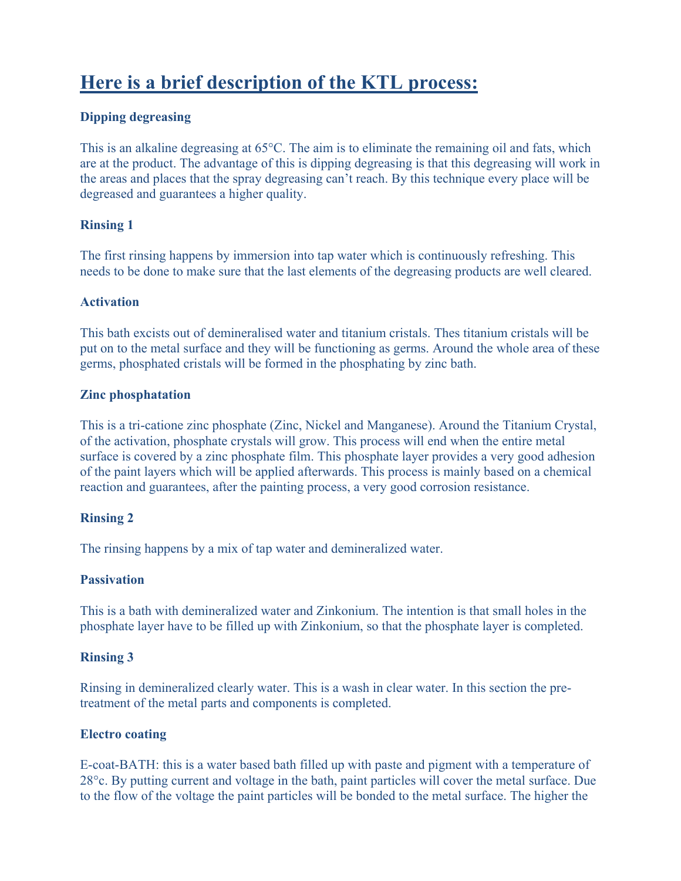# **Here is a brief description of the KTL process:**

## **Dipping degreasing**

This is an alkaline degreasing at 65°C. The aim is to eliminate the remaining oil and fats, which are at the product. The advantage of this is dipping degreasing is that this degreasing will work in the areas and places that the spray degreasing can't reach. By this technique every place will be degreased and guarantees a higher quality.

#### **Rinsing 1**

The first rinsing happens by immersion into tap water which is continuously refreshing. This needs to be done to make sure that the last elements of the degreasing products are well cleared.

#### **Activation**

This bath excists out of demineralised water and titanium cristals. Thes titanium cristals will be put on to the metal surface and they will be functioning as germs. Around the whole area of these germs, phosphated cristals will be formed in the phosphating by zinc bath.

#### **Zinc phosphatation**

This is a tri-catione zinc phosphate (Zinc, Nickel and Manganese). Around the Titanium Crystal, of the activation, phosphate crystals will grow. This process will end when the entire metal surface is covered by a zinc phosphate film. This phosphate layer provides a very good adhesion of the paint layers which will be applied afterwards. This process is mainly based on a chemical reaction and guarantees, after the painting process, a very good corrosion resistance.

# **Rinsing 2**

The rinsing happens by a mix of tap water and demineralized water.

# **Passivation**

This is a bath with demineralized water and Zinkonium. The intention is that small holes in the phosphate layer have to be filled up with Zinkonium, so that the phosphate layer is completed.

#### **Rinsing 3**

Rinsing in demineralized clearly water. This is a wash in clear water. In this section the pretreatment of the metal parts and components is completed.

#### **Electro coating**

E-coat-BATH: this is a water based bath filled up with paste and pigment with a temperature of 28°c. By putting current and voltage in the bath, paint particles will cover the metal surface. Due to the flow of the voltage the paint particles will be bonded to the metal surface. The higher the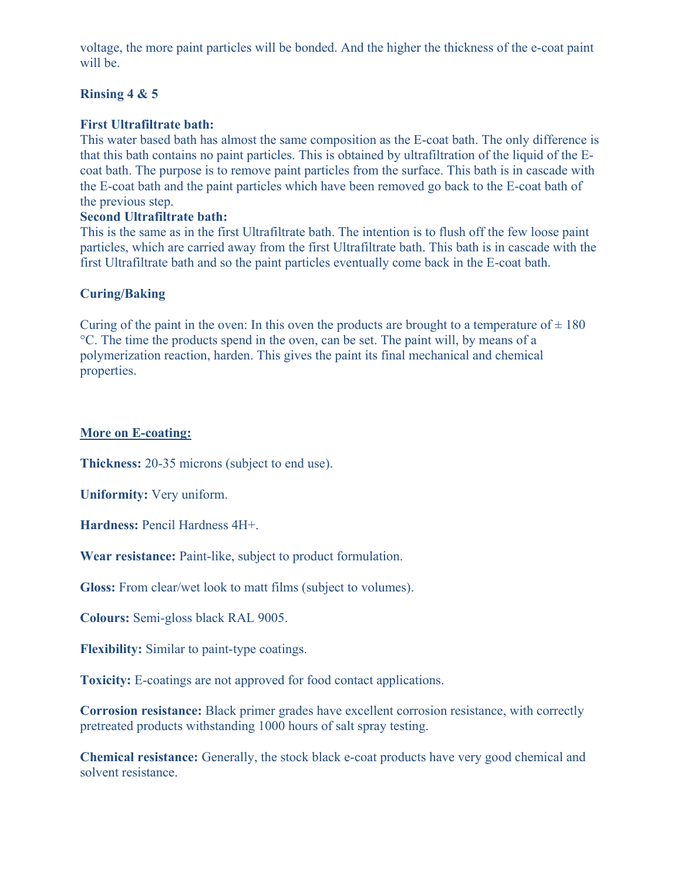voltage, the more paint particles will be bonded. And the higher the thickness of the e-coat paint will be.

# **Rinsing 4 & 5**

# **First Ultrafiltrate bath:**

This water based bath has almost the same composition as the E-coat bath. The only difference is that this bath contains no paint particles. This is obtained by ultrafiltration of the liquid of the Ecoat bath. The purpose is to remove paint particles from the surface. This bath is in cascade with the E-coat bath and the paint particles which have been removed go back to the E-coat bath of the previous step.

## **Second Ultrafiltrate bath:**

This is the same as in the first Ultrafiltrate bath. The intention is to flush off the few loose paint particles, which are carried away from the first Ultrafiltrate bath. This bath is in cascade with the first Ultrafiltrate bath and so the paint particles eventually come back in the E-coat bath.

# **Curing/Baking**

Curing of the paint in the oven: In this oven the products are brought to a temperature of  $\pm 180$ °C. The time the products spend in the oven, can be set. The paint will, by means of a polymerization reaction, harden. This gives the paint its final mechanical and chemical properties.

# **More on E-coating:**

**Thickness:** 20-35 microns (subject to end use).

**Uniformity:** Very uniform.

**Hardness:** Pencil Hardness 4H+.

**Wear resistance:** Paint-like, subject to product formulation.

**Gloss:** From clear/wet look to matt films (subject to volumes).

**Colours:** Semi-gloss black RAL 9005.

**Flexibility:** Similar to paint-type coatings.

**Toxicity:** E-coatings are not approved for food contact applications.

**Corrosion resistance:** Black primer grades have excellent corrosion resistance, with correctly pretreated products withstanding 1000 hours of salt spray testing.

**Chemical resistance:** Generally, the stock black e-coat products have very good chemical and solvent resistance.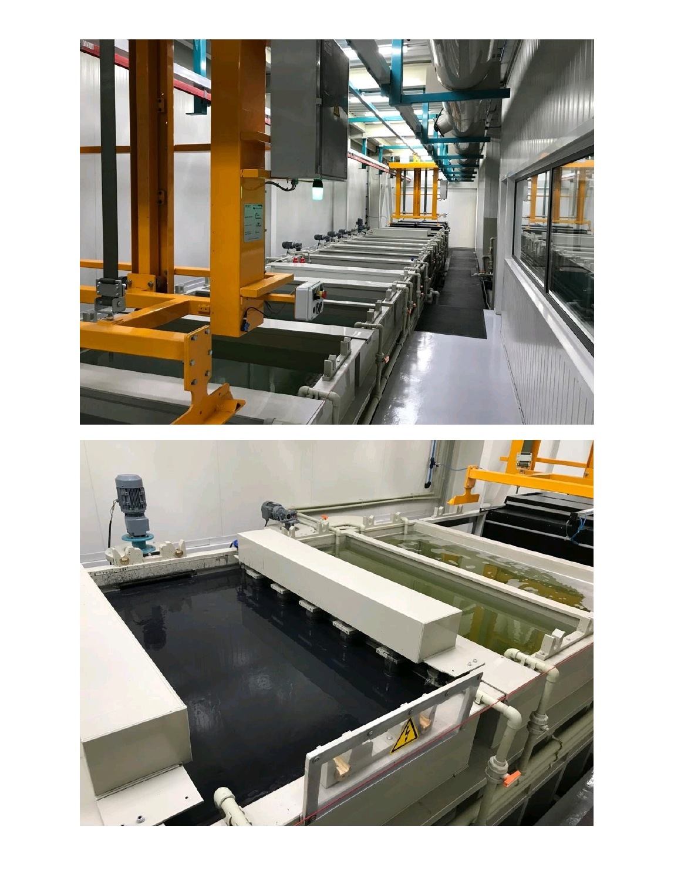